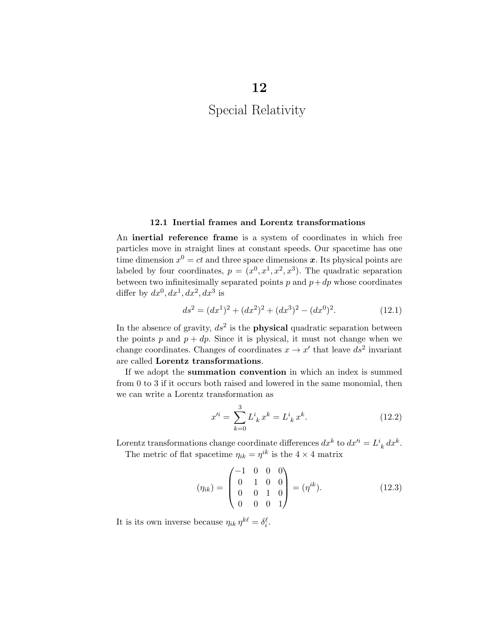## 12.1 Inertial frames and Lorentz transformations

An inertial reference frame is a system of coordinates in which free particles move in straight lines at constant speeds. Our spacetime has one time dimension  $x^0 = ct$  and three space dimensions x. Its physical points are labeled by four coordinates,  $p = (x^0, x^1, x^2, x^3)$ . The quadratic separation between two infinitesimally separated points  $p$  and  $p + dp$  whose coordinates differ by  $dx^0$ ,  $dx^1$ ,  $dx^2$ ,  $dx^3$  is

$$
ds^{2} = (dx^{1})^{2} + (dx^{2})^{2} + (dx^{3})^{2} - (dx^{0})^{2}.
$$
 (12.1)

In the absence of gravity,  $ds^2$  is the **physical** quadratic separation between the points  $p$  and  $p + dp$ . Since it is physical, it must not change when we change coordinates. Changes of coordinates  $x \to x'$  that leave  $ds^2$  invariant are called Lorentz transformations.

If we adopt the summation convention in which an index is summed from 0 to 3 if it occurs both raised and lowered in the same monomial, then we can write a Lorentz transformation as

$$
x'^{i} = \sum_{k=0}^{3} L^{i}_{\;k} x^{k} = L^{i}_{\;k} x^{k}.
$$
 (12.2)

Lorentz transformations change coordinate differences  $dx^k$  to  $dx'^i = L^i{}_k dx^k$ .

The metric of flat spacetime  $\eta_{ik} = \eta^{ik}$  is the  $4 \times 4$  matrix

$$
(\eta_{ik}) = \begin{pmatrix} -1 & 0 & 0 & 0 \\ 0 & 1 & 0 & 0 \\ 0 & 0 & 1 & 0 \\ 0 & 0 & 0 & 1 \end{pmatrix} = (\eta^{ik}).
$$
 (12.3)

It is its own inverse because  $\eta_{ik} \eta^{k\ell} = \delta_i^{\ell}$ .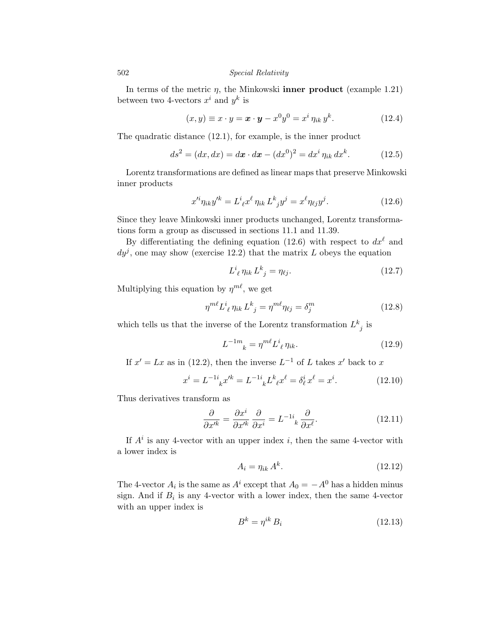In terms of the metric  $\eta$ , the Minkowski **inner product** (example 1.21) between two 4-vectors  $x^i$  and  $y^k$  is

$$
(x,y) \equiv x \cdot y = \mathbf{x} \cdot \mathbf{y} - x^0 y^0 = x^i \eta_{ik} y^k. \tag{12.4}
$$

The quadratic distance (12.1), for example, is the inner product

$$
ds^{2} = (dx, dx) = d\mathbf{x} \cdot d\mathbf{x} - (dx^{0})^{2} = dx^{i} \eta_{ik} dx^{k}.
$$
 (12.5)

Lorentz transformations are defined as linear maps that preserve Minkowski inner products

$$
x'^{i}\eta_{ik}y'^{k} = L^{i}_{\ell}x^{\ell}\eta_{ik}L^{k}_{\ j}y^{j} = x^{\ell}\eta_{\ell j}y^{j}.
$$
 (12.6)

Since they leave Minkowski inner products unchanged, Lorentz transformations form a group as discussed in sections 11.1 and 11.39.

By differentiating the defining equation (12.6) with respect to  $dx^{\ell}$  and  $dy<sup>j</sup>$ , one may show (exercise 12.2) that the matrix *L* obeys the equation

$$
L^i_{\ \ell} \eta_{ik} L^k_{\ j} = \eta_{\ell j}.\tag{12.7}
$$

Multiplying this equation by  $\eta^{m\ell}$ , we get

$$
\eta^{m\ell} L^i_{\ \ell} \eta_{ik} L^k_{\ j} = \eta^{m\ell} \eta_{\ell j} = \delta^m_j \tag{12.8}
$$

which tells us that the inverse of the Lorentz transformation  $L^k_{\ j}$  is

$$
L^{-1m}_{\quad k} = \eta^{m\ell} L^i_{\ \ell} \eta_{ik}.\tag{12.9}
$$

If  $x' = Lx$  as in (12.2), then the inverse  $L^{-1}$  of *L* takes  $x'$  back to *x* 

$$
x^{i} = L^{-1i}{}_{k}x'^{k} = L^{-1i}{}_{k}L^{k}{}_{\ell}x^{\ell} = \delta_{\ell}^{i}x^{\ell} = x^{i}.
$$
 (12.10)

Thus derivatives transform as

$$
\frac{\partial}{\partial x'^k} = \frac{\partial x^i}{\partial x'^k} \frac{\partial}{\partial x^i} = L^{-1i}{}_k \frac{\partial}{\partial x^\ell}.
$$
 (12.11)

If  $A^i$  is any 4-vector with an upper index *i*, then the same 4-vector with a lower index is

$$
A_i = \eta_{ik} A^k. \tag{12.12}
$$

The 4-vector  $A_i$  is the same as  $A^i$  except that  $A_0 = -A^0$  has a hidden minus sign. And if  $B_i$  is any 4-vector with a lower index, then the same 4-vector with an upper index is

$$
B^k = \eta^{ik} B_i \tag{12.13}
$$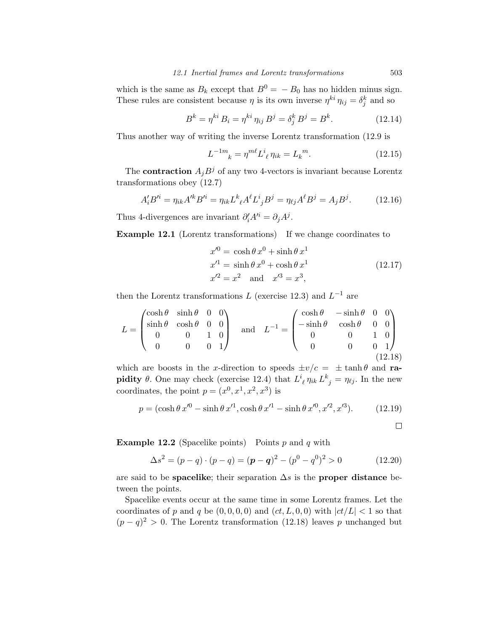which is the same as  $B_k$  except that  $B^0 = -B_0$  has no hidden minus sign. These rules are consistent because  $\eta$  is its own inverse  $\eta^{ki} \eta_{ij} = \delta^k_j$  and so

$$
B^{k} = \eta^{ki} B_{i} = \eta^{ki} \eta_{ij} B^{j} = \delta_{j}^{k} B^{j} = B^{k}.
$$
 (12.14)

Thus another way of writing the inverse Lorentz transformation (12.9 is

$$
L^{-1m}_{\quad k} = \eta^{m\ell} L^i_{\ \ell} \eta_{ik} = L_k^{\ m}.\tag{12.15}
$$

The **contraction**  $A_j B^j$  of any two 4-vectors is invariant because Lorentz transformations obey (12.7)

$$
A'_{i}B'^{i} = \eta_{ik}A'^{k}B'^{i} = \eta_{ik}L^{k}{}_{\ell}A^{\ell}L^{i}{}_{j}B^{j} = \eta_{\ell j}A^{\ell}B^{j} = A_{j}B^{j}.
$$
 (12.16)

Thus 4-divergences are invariant  $\partial_i' A'^i = \partial_j A^j$ .

Example 12.1 (Lorentz transformations) If we change coordinates to

$$
x'^{0} = \cosh \theta \, x^{0} + \sinh \theta \, x^{1}
$$
  
\n
$$
x'^{1} = \sinh \theta \, x^{0} + \cosh \theta \, x^{1}
$$
  
\n
$$
x'^{2} = x^{2} \quad \text{and} \quad x'^{3} = x^{3},
$$
\n(12.17)

then the Lorentz transformations  $L$  (exercise 12.3) and  $L^{-1}$  are

$$
L = \begin{pmatrix} \cosh \theta & \sinh \theta & 0 & 0 \\ \sinh \theta & \cosh \theta & 0 & 0 \\ 0 & 0 & 1 & 0 \\ 0 & 0 & 0 & 1 \end{pmatrix} \quad \text{and} \quad L^{-1} = \begin{pmatrix} \cosh \theta & -\sinh \theta & 0 & 0 \\ -\sinh \theta & \cosh \theta & 0 & 0 \\ 0 & 0 & 1 & 0 \\ 0 & 0 & 0 & 1 \end{pmatrix}
$$
(12.18)

which are boosts in the *x*-direction to speeds  $\pm v/c = \pm \tanh \theta$  and rapidity  $\theta$ . One may check (exercise 12.4) that  $L^i_{\ \ell} \eta_{ik} L^k_{\ j} = \eta_{\ell j}$ . In the new coordinates, the point  $p = (x^0, x^1, x^2, x^3)$  is

$$
p = (\cosh \theta \, x'^0 - \sinh \theta \, x'^1, \cosh \theta \, x'^1 - \sinh \theta \, x'^0, x'^2, x'^3). \tag{12.19}
$$

 $\Box$ 

Example 12.2 (Spacelike points) Points *p* and *q* with

$$
\Delta s^2 = (p - q) \cdot (p - q) = (\boldsymbol{p} - \boldsymbol{q})^2 - (p^0 - q^0)^2 > 0 \tag{12.20}
$$

are said to be **spacelike**; their separation  $\Delta s$  is the **proper distance** between the points.

Spacelike events occur at the same time in some Lorentz frames. Let the coordinates of *p* and *q* be  $(0,0,0,0)$  and  $(ct, L, 0, 0)$  with  $|ct/L| < 1$  so that  $(p - q)^2 > 0$ . The Lorentz transformation (12.18) leaves *p* unchanged but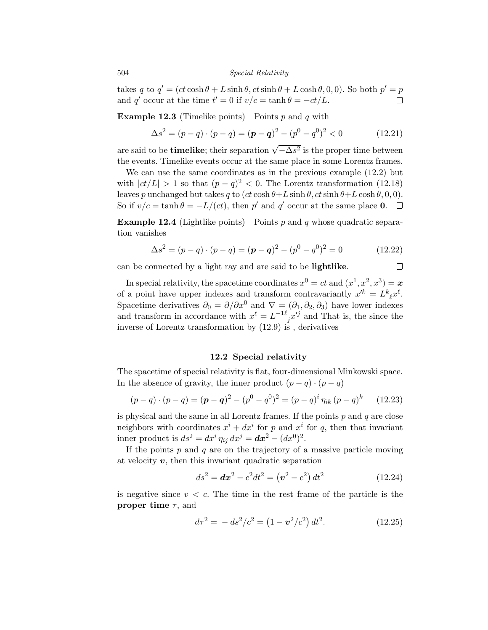takes *q* to  $q' = (ct \cosh \theta + L \sinh \theta, ct \sinh \theta + L \cosh \theta, 0, 0)$ . So both  $p' = p$ and  $q'$  occur at the time  $t' = 0$  if  $v/c = \tanh \theta = -ct/L$ .  $\Box$ 

Example 12.3 (Timelike points) Points *p* and *q* with

$$
\Delta s^2 = (p - q) \cdot (p - q) = (\boldsymbol{p} - \boldsymbol{q})^2 - (p^0 - q^0)^2 < 0 \tag{12.21}
$$

are said to be **timelike**; their separation  $\sqrt{-\Delta s^2}$  is the proper time between the events. Timelike events occur at the same place in some Lorentz frames.

We can use the same coordinates as in the previous example (12.2) but with  $|ct/L| > 1$  so that  $(p - q)^2 < 0$ . The Lorentz transformation (12.18) leaves *p* unchanged but takes *q* to  $(ct \cosh \theta + L \sinh \theta, ct \sinh \theta + L \cosh \theta, 0, 0)$ . So if  $v/c = \tanh \theta = -L/(ct)$ , then p' and q' occur at the same place **0**.  $\Box$ 

Example 12.4 (Lightlike points) Points *p* and *q* whose quadratic separation vanishes

$$
\Delta s^2 = (p - q) \cdot (p - q) = (\mathbf{p} - \mathbf{q})^2 - (p^0 - q^0)^2 = 0 \tag{12.22}
$$

can be connected by a light ray and are said to be lightlike.

 $\Box$ 

In special relativity, the spacetime coordinates  $x^0 = ct$  and  $(x^1, x^2, x^3) = x$ of a point have upper indexes and transform contravariantly  $x'^k = L^k{}_{\ell} x^{\ell}$ . Spacetime derivatives  $\partial_0 = \partial/\partial x^0$  and  $\nabla = (\partial_1, \partial_2, \partial_3)$  have lower indexes and transform in accordance with  $x^{\ell} = L^{-1\ell}{}_{j}x^{j}$  and That is, the since the inverse of Lorentz transformation by (12.9) is , derivatives

### 12.2 Special relativity

The spacetime of special relativity is flat, four-dimensional Minkowski space. In the absence of gravity, the inner product  $(p - q) \cdot (p - q)$ 

$$
(p - q) \cdot (p - q) = (\boldsymbol{p} - \boldsymbol{q})^2 - (p^0 - q^0)^2 = (p - q)^i \eta_{ik} (p - q)^k \qquad (12.23)
$$

is physical and the same in all Lorentz frames. If the points *p* and *q* are close neighbors with coordinates  $x^{i} + dx^{i}$  for *p* and  $x^{i}$  for *q*, then that invariant inner product is  $ds^2 = dx^i \eta_{ij} dx^j = dx^2 - (dx^0)^2$ .

If the points *p* and *q* are on the trajectory of a massive particle moving at velocity *v*, then this invariant quadratic separation

$$
ds^{2} = dx^{2} - c^{2}dt^{2} = (v^{2} - c^{2}) dt^{2}
$$
 (12.24)

is negative since  $v < c$ . The time in the rest frame of the particle is the proper time  $\tau$ , and

$$
d\tau^2 = -ds^2/c^2 = (1 - \mathbf{v}^2/c^2) dt^2.
$$
 (12.25)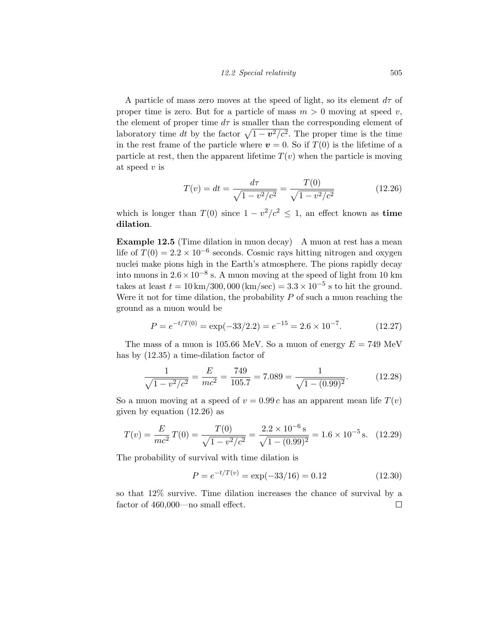A particle of mass zero moves at the speed of light, so its element  $d\tau$  of proper time is zero. But for a particle of mass  $m > 0$  moving at speed *v*, the element of proper time  $d\tau$  is smaller than the corresponding element of laboratory time *dt* by the factor  $\sqrt{1 - v^2/c^2}$ . The proper time is the time in the rest frame of the particle where  $v = 0$ . So if  $T(0)$  is the lifetime of a particle at rest, then the apparent lifetime  $T(v)$  when the particle is moving at speed *v* is

$$
T(v) = dt = \frac{d\tau}{\sqrt{1 - v^2/c^2}} = \frac{T(0)}{\sqrt{1 - v^2/c^2}}
$$
(12.26)

which is longer than  $T(0)$  since  $1 - v^2/c^2 \le 1$ , an effect known as time dilation.

Example 12.5 (Time dilation in muon decay) A muon at rest has a mean life of  $T(0) = 2.2 \times 10^{-6}$  seconds. Cosmic rays hitting nitrogen and oxygen nuclei make pions high in the Earth's atmosphere. The pions rapidly decay into muons in  $2.6 \times 10^{-8}$  s. A muon moving at the speed of light from 10 km takes at least  $t = 10 \,\text{km}/300,000 \,\text{(km/sec)} = 3.3 \times 10^{-5} \,\text{s}$  to hit the ground. Were it not for time dilation, the probability *P* of such a muon reaching the ground as a muon would be

$$
P = e^{-t/T(0)} = \exp(-33/2.2) = e^{-15} = 2.6 \times 10^{-7}.
$$
 (12.27)

The mass of a muon is 105.66 MeV. So a muon of energy  $E = 749$  MeV has by (12.35) a time-dilation factor of

$$
\frac{1}{\sqrt{1 - v^2/c^2}} = \frac{E}{mc^2} = \frac{749}{105.7} = 7.089 = \frac{1}{\sqrt{1 - (0.99)^2}}.
$$
(12.28)

So a muon moving at a speed of  $v = 0.99 c$  has an apparent mean life  $T(v)$ given by equation (12.26) as

$$
T(v) = \frac{E}{mc^2}T(0) = \frac{T(0)}{\sqrt{1 - v^2/c^2}} = \frac{2.2 \times 10^{-6} \,\mathrm{s}}{\sqrt{1 - (0.99)^2}} = 1.6 \times 10^{-5} \,\mathrm{s}.\tag{12.29}
$$

The probability of survival with time dilation is

$$
P = e^{-t/T(v)} = \exp(-33/16) = 0.12
$$
 (12.30)

so that 12% survive. Time dilation increases the chance of survival by a factor of  $460,000$ —no small effect.  $\Box$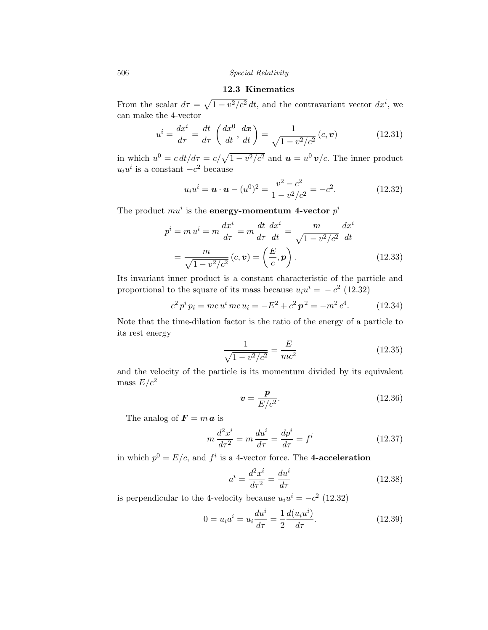## 12.3 Kinematics

From the scalar  $d\tau = \sqrt{1 - v^2/c^2} dt$ , and the contravariant vector  $dx^i$ , we can make the 4-vector

$$
u^i = \frac{dx^i}{d\tau} = \frac{dt}{d\tau} \left(\frac{dx^0}{dt}, \frac{d\mathbf{x}}{dt}\right) = \frac{1}{\sqrt{1 - v^2/c^2}} (c, \mathbf{v})
$$
(12.31)

in which  $u^0 = c dt/d\tau = c/\sqrt{1 - v^2/c^2}$  and  $\boldsymbol{u} = u^0 \boldsymbol{v}/c$ . The inner product  $u_i u^i$  is a constant  $-c^2$  because

$$
u_i u^i = \mathbf{u} \cdot \mathbf{u} - (u^0)^2 = \frac{v^2 - c^2}{1 - v^2/c^2} = -c^2.
$$
 (12.32)

The product  $mu^i$  is the energy-momentum 4-vector  $p^i$ 

$$
p^{i} = m u^{i} = m \frac{dx^{i}}{d\tau} = m \frac{dt}{d\tau} \frac{dx^{i}}{dt} = \frac{m}{\sqrt{1 - v^{2}/c^{2}}} \frac{dx^{i}}{dt}
$$

$$
= \frac{m}{\sqrt{1 - v^{2}/c^{2}}} (c, \mathbf{v}) = \left(\frac{E}{c}, \mathbf{p}\right). \tag{12.33}
$$

Its invariant inner product is a constant characteristic of the particle and proportional to the square of its mass because  $u_i u^i = -c^2$  (12.32)

$$
c^{2} p^{i} p_{i} = mc u^{i} mc u_{i} = -E^{2} + c^{2} p^{2} = -m^{2} c^{4}.
$$
 (12.34)

Note that the time-dilation factor is the ratio of the energy of a particle to its rest energy

$$
\frac{1}{\sqrt{1 - v^2/c^2}} = \frac{E}{mc^2}
$$
 (12.35)

and the velocity of the particle is its momentum divided by its equivalent mass  $E/c^2$ 

$$
\mathbf{v} = \frac{\mathbf{p}}{E/c^2}.\tag{12.36}
$$

The analog of  $\mathbf{F} = m \mathbf{a}$  is

$$
m\frac{d^2x^i}{d\tau^2} = m\frac{du^i}{d\tau} = \frac{dp^i}{d\tau} = f^i
$$
\n(12.37)

in which  $p^0 = E/c$ , and  $f^i$  is a 4-vector force. The **4-acceleration** 

$$
a^i = \frac{d^2x^i}{d\tau^2} = \frac{du^i}{d\tau} \tag{12.38}
$$

is perpendicular to the 4-velocity because  $u_i u^i = -c^2$  (12.32)

$$
0 = u_i a^i = u_i \frac{du^i}{d\tau} = \frac{1}{2} \frac{d(u_i u^i)}{d\tau}.
$$
 (12.39)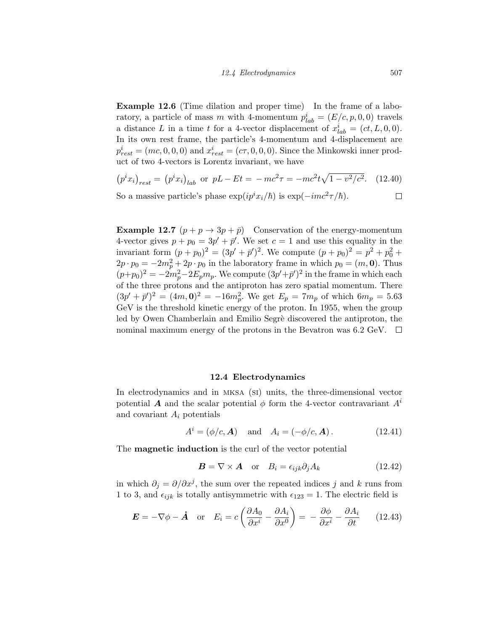Example 12.6 (Time dilation and proper time) In the frame of a laboratory, a particle of mass *m* with 4-momentum  $p_{lab}^{i} = (E/c, p, 0, 0)$  travels a distance *L* in a time *t* for a 4-vector displacement of  $x_{lab}^i = (ct, L, 0, 0)$ . In its own rest frame, the particle's 4-momentum and 4-displacement are  $p_{rest}^i = (mc, 0, 0, 0)$  and  $x_{rest}^i = (c\tau, 0, 0, 0)$ . Since the Minkowski inner product of two 4-vectors is Lorentz invariant, we have

$$
(p^i x_i)_{rest} = (p^i x_i)_{lab}
$$
 or  $pL - Et = -mc^2 \tau = -mc^2 t \sqrt{1 - v^2/c^2}$ . (12.40)

So a massive particle's phase  $\exp(ip^ix_i/\hbar)$  is  $\exp(-imc^2\tau/\hbar)$ .

**Example 12.7**  $(p + p \rightarrow 3p + \bar{p})$  Conservation of the energy-momentum 4-vector gives  $p + p_0 = 3p' + \bar{p}'$ . We set  $c = 1$  and use this equality in the invariant form  $(p + p_0)^2 = (3p' + \bar{p}')^2$ . We compute  $(p + p_0)^2 = p^2 + p_0^2 + p_0^2$  $2p \cdot p_0 = -2m_p^2 + 2p \cdot p_0$  in the laboratory frame in which  $p_0 = (m, 0)$ . Thus  $(p+p_0)^2 = -2m_p^2 - 2E_p m_p$ . We compute  $(3p'+\bar{p}')^2$  in the frame in which each of the three protons and the antiproton has zero spatial momentum. There  $(3p' + \bar{p}')^2 = (4m, 0)^2 = -16m_p^2$ . We get  $E_p = 7m_p$  of which  $6m_p = 5.63$ GeV is the threshold kinetic energy of the proton. In 1955, when the group led by Owen Chamberlain and Emilio Segrè discovered the antiproton, the nominal maximum energy of the protons in the Bevatron was 6.2 GeV.  $\Box$ 

#### 12.4 Electrodynamics

In electrodynamics and in mksa (si) units, the three-dimensional vector potential *A* and the scalar potential  $\phi$  form the 4-vector contravariant  $A^i$ and covariant *A<sup>i</sup>* potentials

$$
A^{i} = (\phi/c, \mathbf{A})
$$
 and  $A_{i} = (-\phi/c, \mathbf{A})$ . (12.41)

The **magnetic induction** is the curl of the vector potential

$$
\boldsymbol{B} = \nabla \times \boldsymbol{A} \quad \text{or} \quad B_i = \epsilon_{ijk} \partial_j A_k \tag{12.42}
$$

in which  $\partial_j = \partial/\partial x^j$ , the sum over the repeated indices *j* and *k* runs from 1 to 3, and  $\epsilon_{ijk}$  is totally antisymmetric with  $\epsilon_{123} = 1$ . The electric field is

$$
\boldsymbol{E} = -\nabla\phi - \dot{\boldsymbol{A}} \quad \text{or} \quad E_i = c \left( \frac{\partial A_0}{\partial x^i} - \frac{\partial A_i}{\partial x^0} \right) = -\frac{\partial \phi}{\partial x^i} - \frac{\partial A_i}{\partial t} \qquad (12.43)
$$

 $\Box$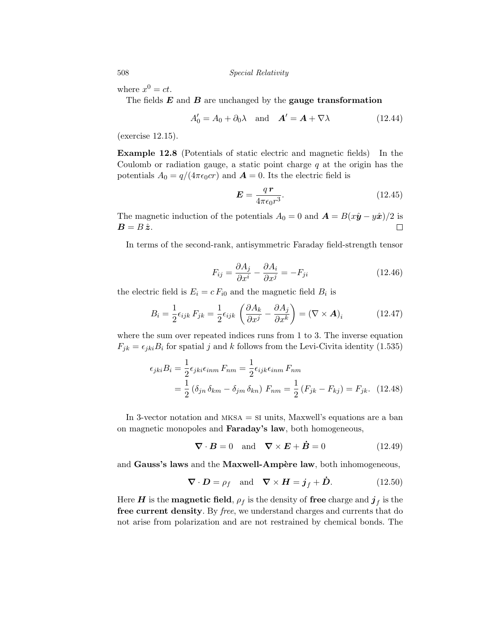where  $x^0 = ct$ .

The fields *E* and *B* are unchanged by the gauge transformation

$$
A'_0 = A_0 + \partial_0 \lambda \quad \text{and} \quad A' = A + \nabla \lambda \tag{12.44}
$$

(exercise 12.15).

Example 12.8 (Potentials of static electric and magnetic fields) In the Coulomb or radiation gauge, a static point charge *q* at the origin has the potentials  $A_0 = q/(4\pi\epsilon_0 c r)$  and  $\mathbf{A} = 0$ . Its the electric field is

$$
E = \frac{q\,\mathbf{r}}{4\pi\epsilon_0 r^3}.\tag{12.45}
$$

The magnetic induction of the potentials  $A_0 = 0$  and  $\mathbf{A} = B(x\hat{\mathbf{y}} - y\hat{\mathbf{x}})/2$  is  $\mathbf{B} = B\hat{\mathbf{z}}$ .  $B = B \hat{z}$ .

In terms of the second-rank, antisymmetric Faraday field-strength tensor

$$
F_{ij} = \frac{\partial A_j}{\partial x^i} - \frac{\partial A_i}{\partial x^j} = -F_{ji}
$$
\n(12.46)

the electric field is  $E_i = c F_{i0}$  and the magnetic field  $B_i$  is

$$
B_i = \frac{1}{2} \epsilon_{ijk} F_{jk} = \frac{1}{2} \epsilon_{ijk} \left( \frac{\partial A_k}{\partial x^j} - \frac{\partial A_j}{\partial x^k} \right) = (\nabla \times \mathbf{A})_i \tag{12.47}
$$

where the sum over repeated indices runs from 1 to 3. The inverse equation  $F_{jk} = \epsilon_{jki} B_i$  for spatial *j* and *k* follows from the Levi-Civita identity (1.535)

$$
\epsilon_{jki} B_i = \frac{1}{2} \epsilon_{jki} \epsilon_{inm} F_{nm} = \frac{1}{2} \epsilon_{ijk} \epsilon_{inm} F_{nm}
$$
  
= 
$$
\frac{1}{2} (\delta_{jn} \delta_{km} - \delta_{jm} \delta_{kn}) F_{nm} = \frac{1}{2} (F_{jk} - F_{kj}) = F_{jk}.
$$
 (12.48)

In 3-vector notation and mksa = si units, Maxwell's equations are a ban on magnetic monopoles and Faraday's law, both homogeneous,

$$
\nabla \cdot \mathbf{B} = 0 \quad \text{and} \quad \nabla \times \mathbf{E} + \dot{\mathbf{B}} = 0 \tag{12.49}
$$

and Gauss's laws and the Maxwell-Ampère law, both inhomogeneous,

$$
\nabla \cdot \mathbf{D} = \rho_f \quad \text{and} \quad \nabla \times \mathbf{H} = \mathbf{j}_f + \dot{\mathbf{D}}.
$$
 (12.50)

Here *H* is the **magnetic field**,  $\rho_f$  is the density of free charge and  $j_f$  is the free current density. By *free*, we understand charges and currents that do not arise from polarization and are not restrained by chemical bonds. The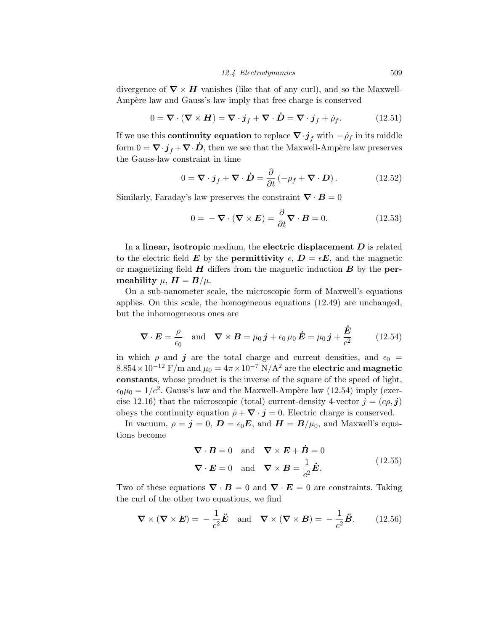### *12.4 Electrodynamics* 509

divergence of  $\nabla \times H$  vanishes (like that of any curl), and so the Maxwell-Ampère law and Gauss's law imply that free charge is conserved

$$
0 = \nabla \cdot (\nabla \times \mathbf{H}) = \nabla \cdot \mathbf{j}_f + \nabla \cdot \mathbf{D} = \nabla \cdot \mathbf{j}_f + \dot{\rho}_f. \tag{12.51}
$$

If we use this **continuity equation** to replace  $\nabla \cdot \mathbf{j}_f$  with  $-\rho_f$  in its middle form  $0 = \nabla \cdot \boldsymbol{j}_f + \nabla \cdot \boldsymbol{D}$ , then we see that the Maxwell-Ampère law preserves the Gauss-law constraint in time

$$
0 = \nabla \cdot \boldsymbol{j}_f + \nabla \cdot \boldsymbol{\dot{D}} = \frac{\partial}{\partial t} \left( -\rho_f + \nabla \cdot \boldsymbol{D} \right). \tag{12.52}
$$

Similarly, Faraday's law preserves the constraint  $\nabla \cdot \boldsymbol{B} = 0$ 

$$
0 = -\nabla \cdot (\nabla \times \mathbf{E}) = \frac{\partial}{\partial t} \nabla \cdot \mathbf{B} = 0.
$$
 (12.53)

In a linear, isotropic medium, the electric displacement *D* is related to the electric field *E* by the **permittivity**  $\epsilon$ ,  $D = \epsilon E$ , and the magnetic or magnetizing field  $H$  differs from the magnetic induction  $B$  by the **per**meability  $\mu$ ,  $H = B/\mu$ .

On a sub-nanometer scale, the microscopic form of Maxwell's equations applies. On this scale, the homogeneous equations (12.49) are unchanged, but the inhomogeneous ones are

$$
\nabla \cdot \boldsymbol{E} = \frac{\rho}{\epsilon_0} \quad \text{and} \quad \nabla \times \boldsymbol{B} = \mu_0 \, \boldsymbol{j} + \epsilon_0 \, \mu_0 \, \boldsymbol{\dot{E}} = \mu_0 \, \boldsymbol{j} + \frac{\boldsymbol{\dot{E}}}{c^2} \tag{12.54}
$$

in which  $\rho$  and  $j$  are the total charge and current densities, and  $\epsilon_0$  =  $8.854 \times 10^{-12}$  F/m and  $\mu_0 = 4\pi \times 10^{-7}$  N/A<sup>2</sup> are the electric and magnetic constants, whose product is the inverse of the square of the speed of light,  $\epsilon_0\mu_0 = 1/c^2$ . Gauss's law and the Maxwell-Ampère law (12.54) imply (exercise 12.16) that the microscopic (total) current-density 4-vector  $j = (c\rho, j)$ obeys the continuity equation  $\dot{\rho} + \nabla \cdot \mathbf{j} = 0$ . Electric charge is conserved.

In vacuum,  $\rho = \mathbf{j} = 0$ ,  $\mathbf{D} = \epsilon_0 \mathbf{E}$ , and  $\mathbf{H} = \mathbf{B}/\mu_0$ , and Maxwell's equations become

$$
\nabla \cdot \mathbf{B} = 0 \text{ and } \nabla \times \mathbf{E} + \dot{\mathbf{B}} = 0
$$
  

$$
\nabla \cdot \mathbf{E} = 0 \text{ and } \nabla \times \mathbf{B} = \frac{1}{c^2} \dot{\mathbf{E}}.
$$
 (12.55)

Two of these equations  $\nabla \cdot \mathbf{B} = 0$  and  $\nabla \cdot \mathbf{E} = 0$  are constraints. Taking the curl of the other two equations, we find

$$
\nabla \times (\nabla \times \mathbf{E}) = -\frac{1}{c^2} \ddot{\mathbf{E}} \quad \text{and} \quad \nabla \times (\nabla \times \mathbf{B}) = -\frac{1}{c^2} \ddot{\mathbf{B}}.
$$
 (12.56)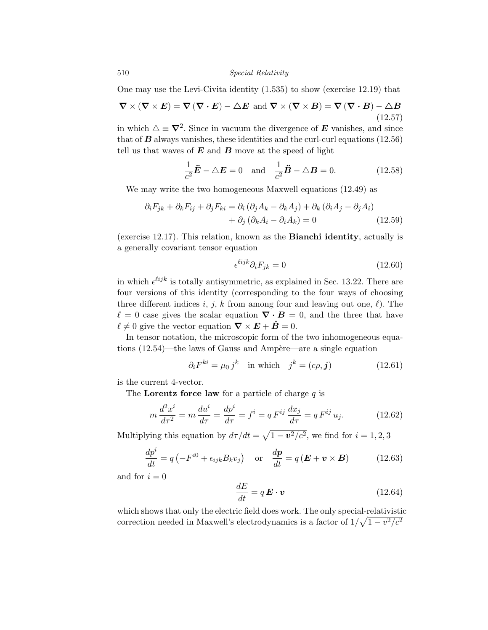One may use the Levi-Civita identity (1.535) to show (exercise 12.19) that

$$
\nabla \times (\nabla \times \mathbf{E}) = \nabla (\nabla \cdot \mathbf{E}) - \Delta \mathbf{E} \text{ and } \nabla \times (\nabla \times \mathbf{B}) = \nabla (\nabla \cdot \mathbf{B}) - \Delta \mathbf{B}
$$
\n(12.57)

in which  $\Delta \equiv \nabla^2$ . Since in vacuum the divergence of *E* vanishes, and since that of  $B$  always vanishes, these identities and the curl-curl equations  $(12.56)$ tell us that waves of *E* and *B* move at the speed of light

$$
\frac{1}{c^2}\ddot{E} - \triangle E = 0 \quad \text{and} \quad \frac{1}{c^2}\ddot{B} - \triangle B = 0. \tag{12.58}
$$

We may write the two homogeneous Maxwell equations (12.49) as

$$
\partial_i F_{jk} + \partial_k F_{ij} + \partial_j F_{ki} = \partial_i (\partial_j A_k - \partial_k A_j) + \partial_k (\partial_i A_j - \partial_j A_i) + \partial_j (\partial_k A_i - \partial_i A_k) = 0
$$
(12.59)

(exercise 12.17). This relation, known as the Bianchi identity, actually is a generally covariant tensor equation

$$
\epsilon^{\ell i j k} \partial_i F_{j k} = 0 \tag{12.60}
$$

in which  $\epsilon^{ijk}$  is totally antisymmetric, as explained in Sec. 13.22. There are four versions of this identity (corresponding to the four ways of choosing three different indices  $i, j, k$  from among four and leaving out one,  $\ell$ ). The  $\ell = 0$  case gives the scalar equation  $\nabla \cdot \boldsymbol{B} = 0$ , and the three that have  $\ell \neq 0$  give the vector equation  $\nabla \times \boldsymbol{E} + \boldsymbol{B} = 0$ .

In tensor notation, the microscopic form of the two inhomogeneous equations  $(12.54)$ —the laws of Gauss and Ampère—are a single equation

$$
\partial_i F^{ki} = \mu_0 j^k \quad \text{in which} \quad j^k = (c\rho, \mathbf{j}) \tag{12.61}
$$

is the current 4-vector.

The Lorentz force law for a particle of charge *q* is

$$
m\frac{d^2x^i}{d\tau^2} = m\frac{du^i}{d\tau} = \frac{dp^i}{d\tau} = f^i = qF^{ij}\frac{dx_j}{d\tau} = qF^{ij}u_j.
$$
 (12.62)

Multiplying this equation by  $d\tau/dt = \sqrt{1 - v^2/c^2}$ , we find for  $i = 1, 2, 3$ 

$$
\frac{dp^{i}}{dt} = q\left(-F^{i0} + \epsilon_{ijk}B_{k}v_{j}\right) \quad \text{or} \quad \frac{d\boldsymbol{p}}{dt} = q\left(\boldsymbol{E} + \boldsymbol{v} \times \boldsymbol{B}\right) \tag{12.63}
$$

and for  $i = 0$ 

$$
\frac{dE}{dt} = q\,\mathbf{E} \cdot \mathbf{v} \tag{12.64}
$$

which shows that only the electric field does work. The only special-relativistic correction needed in Maxwell's electrodynamics is a factor of  $1/\sqrt{1 - v^2/c^2}$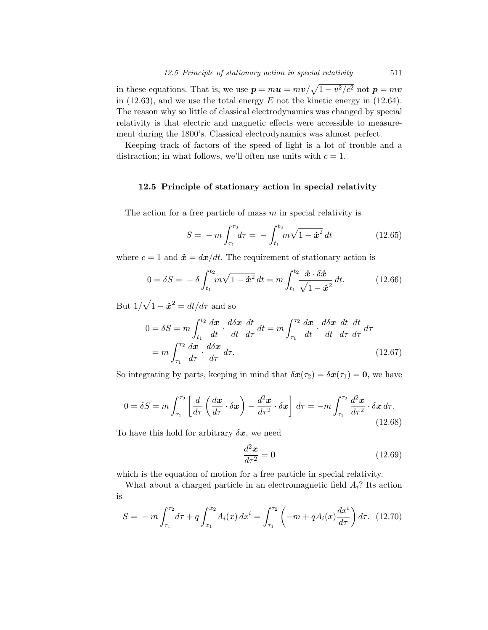in these equations. That is, we use  $p = m\mathbf{u} = m\mathbf{v}/\sqrt{1 - v^2/c^2}$  not  $p = m\mathbf{v}$ in (12.63), and we use the total energy *E* not the kinetic energy in (12.64). The reason why so little of classical electrodynamics was changed by special relativity is that electric and magnetic effects were accessible to measurement during the 1800's. Classical electrodynamics was almost perfect.

Keeping track of factors of the speed of light is a lot of trouble and a distraction; in what follows, we'll often use units with  $c = 1$ .

#### 12.5 Principle of stationary action in special relativity

The action for a free particle of mass *m* in special relativity is

$$
S = -m \int_{\tau_1}^{\tau_2} d\tau = -\int_{t_1}^{t_2} m\sqrt{1 - \dot{x}^2} dt \qquad (12.65)
$$

where  $c = 1$  and  $\dot{x} = dx/dt$ . The requirement of stationary action is

$$
0 = \delta S = -\delta \int_{t_1}^{t_2} m\sqrt{1 - \dot{x}^2} dt = m \int_{t_1}^{t_2} \frac{\dot{x} \cdot \delta \dot{x}}{\sqrt{1 - \dot{x}^2}} dt.
$$
 (12.66)

But  $1/\sqrt{1 - \dot{x}^2} = dt/d\tau$  and so

$$
0 = \delta S = m \int_{t_1}^{t_2} \frac{dx}{dt} \cdot \frac{d\delta x}{dt} \frac{dt}{d\tau} dt = m \int_{\tau_1}^{\tau_2} \frac{dx}{dt} \cdot \frac{d\delta x}{dt} \frac{dt}{d\tau} \frac{dt}{d\tau} d\tau
$$

$$
= m \int_{\tau_1}^{\tau_2} \frac{dx}{d\tau} \cdot \frac{d\delta x}{d\tau} d\tau. \tag{12.67}
$$

So integrating by parts, keeping in mind that  $\delta x(\tau_2) = \delta x(\tau_1) = 0$ , we have

$$
0 = \delta S = m \int_{\tau_1}^{\tau_2} \left[ \frac{d}{d\tau} \left( \frac{d\boldsymbol{x}}{d\tau} \cdot \delta \boldsymbol{x} \right) - \frac{d^2 \boldsymbol{x}}{d\tau^2} \cdot \delta \boldsymbol{x} \right] d\tau = -m \int_{\tau_1}^{\tau_2} \frac{d^2 \boldsymbol{x}}{d\tau^2} \cdot \delta \boldsymbol{x} d\tau.
$$
\n(12.68)

To have this hold for arbitrary  $\delta x$ , we need

$$
\frac{d^2x}{d\tau^2} = \mathbf{0} \tag{12.69}
$$

which is the equation of motion for a free particle in special relativity.

What about a charged particle in an electromagnetic field  $A_i$ ? Its action is

$$
S = -m \int_{\tau_1}^{\tau_2} d\tau + q \int_{x_1}^{x_2} A_i(x) \, dx^i = \int_{\tau_1}^{\tau_2} \left( -m + q A_i(x) \frac{dx^i}{d\tau} \right) d\tau. \tag{12.70}
$$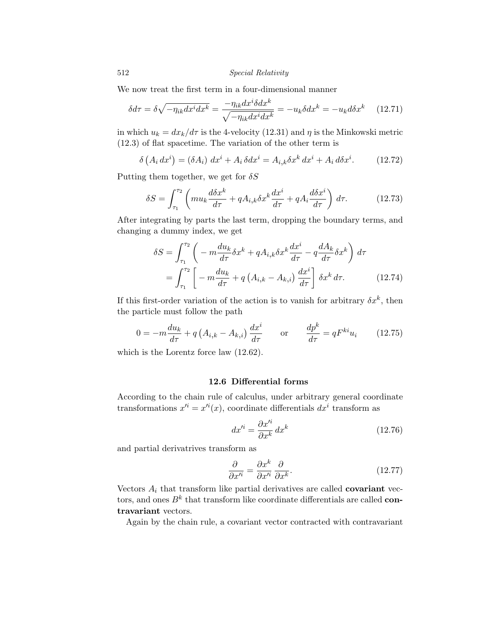We now treat the first term in a four-dimensional manner

$$
\delta d\tau = \delta \sqrt{-\eta_{ik} dx^i dx^k} = \frac{-\eta_{ik} dx^i \delta dx^k}{\sqrt{-\eta_{ik} dx^i dx^k}} = -u_k \delta dx^k = -u_k d\delta x^k \qquad (12.71)
$$

in which  $u_k = dx_k/d\tau$  is the 4-velocity (12.31) and  $\eta$  is the Minkowski metric (12.3) of flat spacetime. The variation of the other term is

$$
\delta\left(A_i dx^i\right) = (\delta A_i) dx^i + A_i \delta dx^i = A_{i,k} \delta x^k dx^i + A_i d\delta x^i.
$$
 (12.72)

Putting them together, we get for  $\delta S$ 

$$
\delta S = \int_{\tau_1}^{\tau_2} \left( m u_k \frac{d \delta x^k}{d \tau} + q A_{i,k} \delta x^k \frac{d x^i}{d \tau} + q A_i \frac{d \delta x^i}{d \tau} \right) d \tau. \tag{12.73}
$$

After integrating by parts the last term, dropping the boundary terms, and changing a dummy index, we get

$$
\delta S = \int_{\tau_1}^{\tau_2} \left( -m \frac{du_k}{d\tau} \delta x^k + q A_{i,k} \delta x^k \frac{dx^i}{d\tau} - q \frac{dA_k}{d\tau} \delta x^k \right) d\tau
$$
  
= 
$$
\int_{\tau_1}^{\tau_2} \left[ -m \frac{du_k}{d\tau} + q \left( A_{i,k} - A_{k,i} \right) \frac{dx^i}{d\tau} \right] \delta x^k d\tau.
$$
 (12.74)

If this first-order variation of the action is to vanish for arbitrary  $\delta x^k$ , then the particle must follow the path

$$
0 = -m\frac{du_k}{d\tau} + q\left(A_{i,k} - A_{k,i}\right)\frac{dx^i}{d\tau} \quad \text{or} \quad \frac{dp^k}{d\tau} = qF^{ki}u_i \quad (12.75)
$$

which is the Lorentz force law (12.62).

## 12.6 Differential forms

According to the chain rule of calculus, under arbitrary general coordinate transformations  $x^{i} = x^{i}(x)$ , coordinate differentials  $dx^{i}$  transform as

$$
dx^{\prime i} = \frac{\partial x^{\prime i}}{\partial x^k} dx^k \tag{12.76}
$$

and partial derivatrives transform as

$$
\frac{\partial}{\partial x'^i} = \frac{\partial x^k}{\partial x'^i} \frac{\partial}{\partial x^k}.
$$
\n(12.77)

Vectors  $A_i$  that transform like partial derivatives are called **covariant** vectors, and ones  $B^k$  that transform like coordinate differentials are called **con**travariant vectors.

Again by the chain rule, a covariant vector contracted with contravariant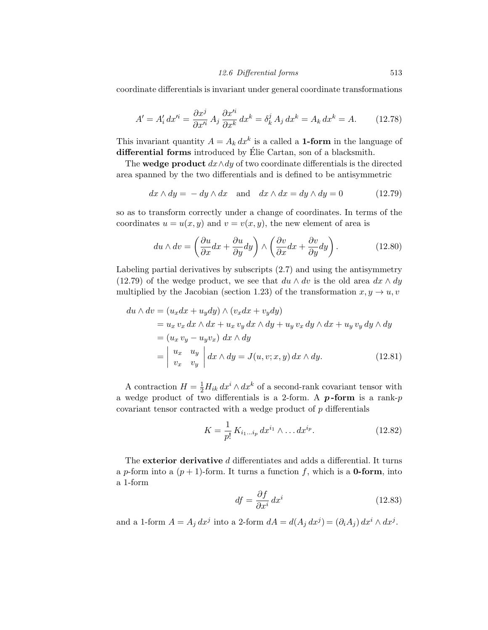coordinate differentials is invariant under general coordinate transformations

$$
A' = A'_i dx'^i = \frac{\partial x^j}{\partial x'^i} A_j \frac{\partial x'^i}{\partial x^k} dx^k = \delta^j_k A_j dx^k = A_k dx^k = A.
$$
 (12.78)

This invariant quantity  $A = A_k dx^k$  is a called a **1-form** in the language of differential forms introduced by  $E$ lie Cartan, son of a blacksmith.

The **wedge product**  $dx \wedge dy$  of two coordinate differentials is the directed area spanned by the two differentials and is defined to be antisymmetric

$$
dx \wedge dy = -dy \wedge dx \quad \text{and} \quad dx \wedge dx = dy \wedge dy = 0 \tag{12.79}
$$

so as to transform correctly under a change of coordinates. In terms of the coordinates  $u = u(x, y)$  and  $v = v(x, y)$ , the new element of area is

$$
du \wedge dv = \left(\frac{\partial u}{\partial x}dx + \frac{\partial u}{\partial y}dy\right) \wedge \left(\frac{\partial v}{\partial x}dx + \frac{\partial v}{\partial y}dy\right). \tag{12.80}
$$

Labeling partial derivatives by subscripts (2.7) and using the antisymmetry (12.79) of the wedge product, we see that  $du \wedge dv$  is the old area  $dx \wedge dy$ multiplied by the Jacobian (section 1.23) of the transformation  $x, y \rightarrow u, v$ 

$$
du \wedge dv = (u_x dx + u_y dy) \wedge (v_x dx + v_y dy)
$$
  
=  $u_x v_x dx \wedge dx + u_x v_y dx \wedge dy + u_y v_x dy \wedge dx + u_y v_y dy \wedge dy$   
=  $(u_x v_y - u_y v_x) dx \wedge dy$   
=  $\begin{vmatrix} u_x & u_y \\ v_x & v_y \end{vmatrix} dx \wedge dy = J(u, v; x, y) dx \wedge dy.$  (12.81)

A contraction  $H = \frac{1}{2} H_{ik} dx^i \wedge dx^k$  of a second-rank covariant tensor with a wedge product of two differentials is a 2-form. A  $p$ -form is a rank- $p$ covariant tensor contracted with a wedge product of  $p$  differentials

$$
K = \frac{1}{p!} K_{i_1...i_p} dx^{i_1} \wedge ... dx^{i_p}.
$$
 (12.82)

The exterior derivative *d* differentiates and adds a differential. It turns a *p*-form into a  $(p+1)$ -form. It turns a function f, which is a **0-form**, into a 1-form

$$
df = \frac{\partial f}{\partial x^i} dx^i \tag{12.83}
$$

and a 1-form  $A = A_j dx^j$  into a 2-form  $dA = d(A_i dx^j) = (\partial_i A_i) dx^i \wedge dx^j$ .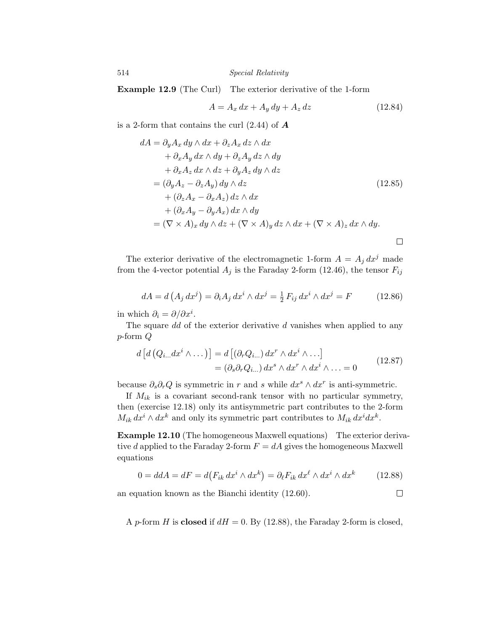Example 12.9 (The Curl) The exterior derivative of the 1-form

$$
A = A_x dx + A_y dy + A_z dz \qquad (12.84)
$$

is a 2-form that contains the curl (2.44) of *A*

$$
dA = \partial_y A_x dy \wedge dx + \partial_z A_x dz \wedge dx
$$
  
+  $\partial_x A_y dx \wedge dy + \partial_z A_y dz \wedge dy$   
+  $\partial_x A_z dx \wedge dz + \partial_y A_z dy \wedge dz$   
=  $(\partial_y A_z - \partial_z A_y) dy \wedge dz$   
+  $(\partial_z A_x - \partial_x A_z) dz \wedge dx$   
+  $(\partial_x A_y - \partial_y A_x) dx \wedge dy$   
=  $(\nabla \times A)_x dy \wedge dz + (\nabla \times A)_y dz \wedge dx + (\nabla \times A)_z dx \wedge dy.$ 

The exterior derivative of the electromagnetic 1-form  $A = A_i dx^j$  made from the 4-vector potential  $A_j$  is the Faraday 2-form (12.46), the tensor  $F_{ij}$ 

$$
dA = d(A_j dx^j) = \partial_i A_j dx^i \wedge dx^j = \frac{1}{2} F_{ij} dx^i \wedge dx^j = F \qquad (12.86)
$$

in which  $\partial_i = \partial/\partial x^i$ .

The square *dd* of the exterior derivative *d* vanishes when applied to any *p*-form *Q*

$$
d\left[d\left(Q_{i...}dx^{i}\wedge\ldots\right)\right] = d\left[\left(\partial_{r}Q_{i...}\right)dx^{r}\wedge dx^{i}\wedge\ldots\right]
$$

$$
= \left(\partial_{s}\partial_{r}Q_{i...}\right)dx^{s}\wedge dx^{r}\wedge dx^{i}\wedge\ldots = 0 \qquad (12.87)
$$

because  $\partial_s \partial_r Q$  is symmetric in *r* and *s* while  $dx^s \wedge dx^r$  is anti-symmetric.

If  $M_{ik}$  is a covariant second-rank tensor with no particular symmetry, then (exercise 12.18) only its antisymmetric part contributes to the 2-form  $M_{ik} dx^{i} \wedge dx^{k}$  and only its symmetric part contributes to  $M_{ik} dx^{i} dx^{k}$ .

**Example 12.10** (The homogeneous Maxwell equations) The exterior derivative *d* applied to the Faraday 2-form  $F = dA$  gives the homogeneous Maxwell equations

$$
0 = d\mathcal{A} = dF = d(F_{ik} dx^i \wedge dx^k) = \partial_{\ell} F_{ik} dx^{\ell} \wedge dx^i \wedge dx^k \qquad (12.88)
$$

an equation known as the Bianchi identity (12.60).  $\Box$ 

A *p*-form *H* is **closed** if  $dH = 0$ . By (12.88), the Faraday 2-form is closed,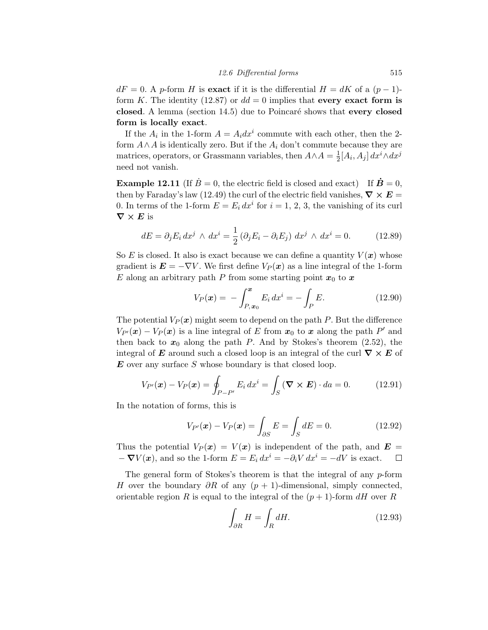$dF = 0$ . A *p*-form *H* is exact if it is the differential  $H = dK$  of a  $(p-1)$ form *K*. The identity (12.87) or  $dd = 0$  implies that every exact form is closed. A lemma (section  $14.5$ ) due to Poincaré shows that every closed form is locally exact.

If the  $A_i$  in the 1-form  $A = A_i dx^i$  commute with each other, then the 2form  $A \wedge A$  is identically zero. But if the  $A_i$  don't commute because they are matrices, operators, or Grassmann variables, then  $A \wedge A = \frac{1}{2} [A_i, A_j] dx^i \wedge dx^j$ need not vanish.

**Example 12.11** (If  $\dot{B} = 0$ , the electric field is closed and exact) If  $\dot{B} = 0$ , then by Faraday's law (12.49) the curl of the electric field vanishes,  $\nabla \times E$ 0. In terms of the 1-form  $E = E_i dx^i$  for  $i = 1, 2, 3$ , the vanishing of its curl  $\nabla \times E$  is

$$
dE = \partial_j E_i dx^j \wedge dx^i = \frac{1}{2} (\partial_j E_i - \partial_i E_j) dx^j \wedge dx^i = 0.
$$
 (12.89)

So E is closed. It also is exact because we can define a quantity  $V(x)$  whose gradient is  $\mathbf{E} = -\nabla V$ . We first define  $V_P(\mathbf{x})$  as a line integral of the 1-form E along an arbitrary path P from some starting point  $x_0$  to  $x$ 

$$
V_P(\mathbf{x}) = -\int_{P, \mathbf{x}_0}^{\mathbf{x}} E_i \, dx^i = -\int_P E. \tag{12.90}
$$

The potential  $V_P(\boldsymbol{x})$  might seem to depend on the path P. But the difference  $V_{P'}(x) - V_P(x)$  is a line integral of *E* from  $x_0$  to *x* along the path *P*<sup>*i*</sup> and then back to  $x_0$  along the path *P*. And by Stokes's theorem (2.52), the integral of **E** around such a closed loop is an integral of the curl  $\nabla \times \mathbf{E}$  of *E* over any surface *S* whose boundary is that closed loop.

$$
V_{P'}(\boldsymbol{x}) - V_P(\boldsymbol{x}) = \oint_{P-P'} E_i \, dx^i = \int_S (\boldsymbol{\nabla} \times \boldsymbol{E}) \cdot da = 0. \quad (12.91)
$$

In the notation of forms, this is

$$
V_{P'}(\mathbf{x}) - V_P(\mathbf{x}) = \int_{\partial S} E = \int_S dE = 0.
$$
 (12.92)

Thus the potential  $V_P(x) = V(x)$  is independent of the path, and  $E =$  $-\nabla V(x)$ , and so the 1-form  $E = E_i dx^i = -\partial_i V dx^i = -dV$  is exact.  $\Box$ 

The general form of Stokes's theorem is that the integral of any *p*-form *H* over the boundary  $\partial R$  of any  $(p + 1)$ -dimensional, simply connected, orientable region *R* is equal to the integral of the  $(p+1)$ -form  $dH$  over *R* 

$$
\int_{\partial R} H = \int_{R} dH. \tag{12.93}
$$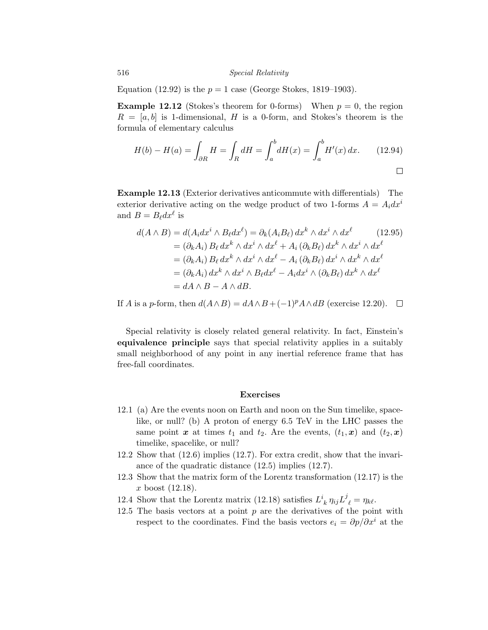Equation (12.92) is the  $p = 1$  case (George Stokes, 1819–1903).

**Example 12.12** (Stokes's theorem for 0-forms) When  $p = 0$ , the region  $R = [a, b]$  is 1-dimensional, *H* is a 0-form, and Stokes's theorem is the formula of elementary calculus

$$
H(b) - H(a) = \int_{\partial R} H = \int_{R} dH = \int_{a}^{b} dH(x) = \int_{a}^{b} H'(x) dx.
$$
 (12.94)

**Example 12.13** (Exterior derivatives anticommute with differentials) The exterior derivative acting on the wedge product of two 1-forms  $A = A_i dx^i$ and  $B = B_{\ell} dx^{\ell}$  is

$$
d(A \wedge B) = d(A_i dx^i \wedge B_\ell dx^\ell) = \partial_k(A_i B_\ell) dx^k \wedge dx^i \wedge dx^\ell \qquad (12.95)
$$
  
=  $(\partial_k A_i) B_\ell dx^k \wedge dx^i \wedge dx^\ell + A_i (\partial_k B_\ell) dx^k \wedge dx^i \wedge dx^\ell$   
=  $(\partial_k A_i) B_\ell dx^k \wedge dx^i \wedge dx^\ell - A_i (\partial_k B_\ell) dx^i \wedge dx^k \wedge dx^\ell$   
=  $(\partial_k A_i) dx^k \wedge dx^i \wedge B_\ell dx^\ell - A_i dx^i \wedge (\partial_k B_\ell) dx^k \wedge dx^\ell$   
=  $dA \wedge B - A \wedge dB$ .

If *A* is a *p*-form, then  $d(A \wedge B) = dA \wedge B + (-1)^p A \wedge dB$  (exercise 12.20).  $\square$ 

Special relativity is closely related general relativity. In fact, Einstein's equivalence principle says that special relativity applies in a suitably small neighborhood of any point in any inertial reference frame that has free-fall coordinates.

## Exercises

- 12.1 (a) Are the events noon on Earth and noon on the Sun timelike, spacelike, or null? (b) A proton of energy 6.5 TeV in the LHC passes the same point  $x$  at times  $t_1$  and  $t_2$ . Are the events,  $(t_1, x)$  and  $(t_2, x)$ timelike, spacelike, or null?
- 12.2 Show that (12.6) implies (12.7). For extra credit, show that the invariance of the quadratic distance (12.5) implies (12.7).
- 12.3 Show that the matrix form of the Lorentz transformation (12.17) is the *x* boost (12.18).
- 12.4 Show that the Lorentz matrix (12.18) satisfies  $L^i_{\ k} \eta_{ij} L^j_{\ \ell} = \eta_{k\ell}$ .
- 12.5 The basis vectors at a point  $p$  are the derivatives of the point with respect to the coordinates. Find the basis vectors  $e_i = \partial p / \partial x^i$  at the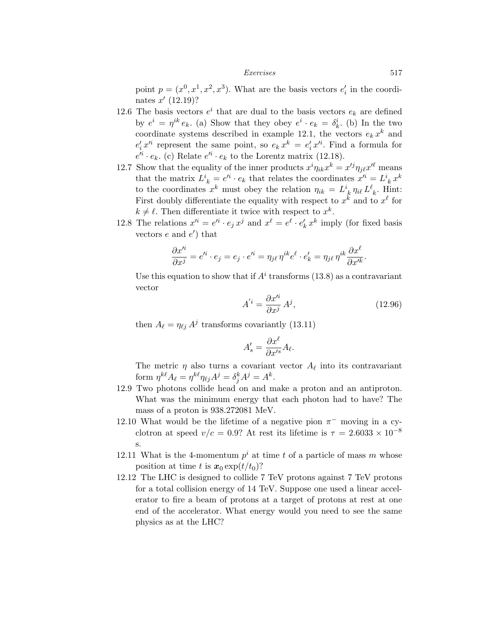#### *Exercises* 517

point  $p = (x^0, x^1, x^2, x^3)$ . What are the basis vectors  $e'_i$  in the coordinates  $x'(12.19)$ ?

- 12.6 The basis vectors  $e^i$  that are dual to the basis vectors  $e_k$  are defined by  $e^i = \eta^{ik} e_k$ . (a) Show that they obey  $e^i \cdot e_k = \delta_k^i$ . (b) In the two coordinate systems described in example 12.1, the vectors  $e_k x^k$  and  $e'_i x'^i$  represent the same point, so  $e_k x^k = e'_i x'^i$ . Find a formula for  $e^{i\mathbf{i}} \cdot e_k$ . (c) Relate  $e^{i\mathbf{i}} \cdot e_k$  to the Lorentz matrix (12.18).
- 12.7 Show that the equality of the inner products  $x^{i}\eta_{ik}x^{k} = x'^{j}\eta_{j\ell}x'^{\ell}$  means that the matrix  $L^i_{\ k} = e^{i\ell} \cdot e_k$  that relates the coordinates  $x^{\ell i} = L^i_{\ k} x^k$ to the coordinates  $x^k$  must obey the relation  $\eta_{ik} = L^i_{\;k} \eta_{i\ell} L^{\ell}_{\;k}$ . Hint: First doubly differentiate the equality with respect to  $x^k$  and to  $x^{\ell}$  for  $k \neq \ell$ . Then differentiate it twice with respect to  $x^k$ .
- 12.8 The relations  $x'^i = e^{i\theta} \cdot e_j x^j$  and  $x^\ell = e^{\ell} \cdot e'_k x^k$  imply (for fixed basis vectors  $e$  and  $e'$  that

$$
\frac{\partial x^{\prime i}}{\partial x^j} = e^{\prime i} \cdot e_j = e_j \cdot e^{\prime i} = \eta_{j\ell} \eta^{ik} e^{\ell} \cdot e_k^{\prime} = \eta_{j\ell} \eta^{ik} \frac{\partial x^{\ell}}{\partial x^{\prime k}}.
$$

Use this equation to show that if  $A^i$  transforms (13.8) as a contravariant vector

$$
A^{'i} = \frac{\partial x^{'i}}{\partial x^j} A^j, \qquad (12.96)
$$

then  $A_{\ell} = \eta_{\ell j} A^{j}$  transforms covariantly (13.11)

$$
A'_s = \frac{\partial x^\ell}{\partial x'^s} A_\ell.
$$

The metric  $\eta$  also turns a covariant vector  $A_\ell$  into its contravariant form  $\eta^{k\ell} A_{\ell} = \eta^{k\ell} \eta_{\ell j} A^{j} = \delta_{j}^{k} A^{j} = A^{k}.$ 

- 12.9 Two photons collide head on and make a proton and an antiproton. What was the minimum energy that each photon had to have? The mass of a proton is 938.272081 MeV.
- 12.10 What would be the lifetime of a negative pion  $\pi^-$  moving in a cyclotron at speed  $v/c = 0.9$ ? At rest its lifetime is  $\tau = 2.6033 \times 10^{-8}$ s.
- 12.11 What is the 4-momentum  $p^i$  at time t of a particle of mass m whose position at time *t* is  $x_0 \exp(t/t_0)$ ?
- 12.12 The LHC is designed to collide 7 TeV protons against 7 TeV protons for a total collision energy of 14 TeV. Suppose one used a linear accelerator to fire a beam of protons at a target of protons at rest at one end of the accelerator. What energy would you need to see the same physics as at the LHC?